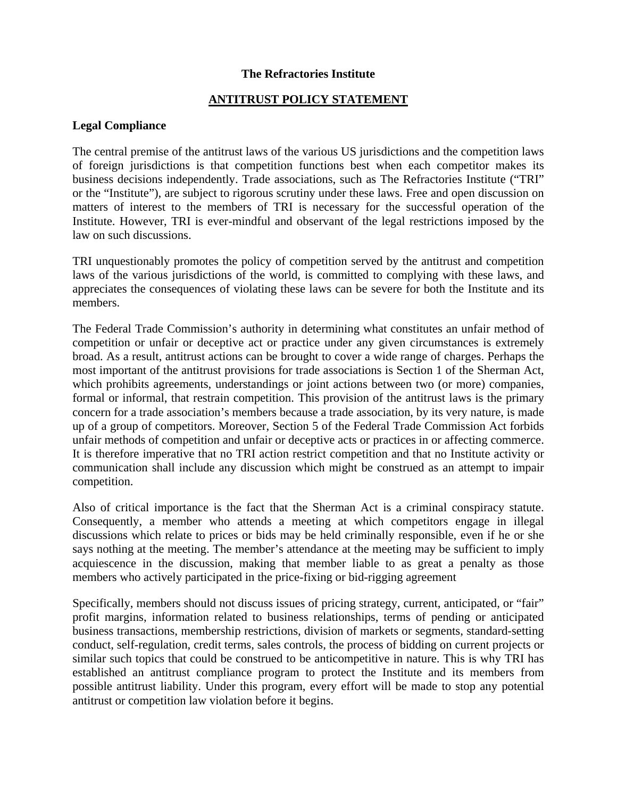## **The Refractories Institute**

## **ANTITRUST POLICY STATEMENT**

## **Legal Compliance**

The central premise of the antitrust laws of the various US jurisdictions and the competition laws of foreign jurisdictions is that competition functions best when each competitor makes its business decisions independently. Trade associations, such as The Refractories Institute ("TRI" or the "Institute"), are subject to rigorous scrutiny under these laws. Free and open discussion on matters of interest to the members of TRI is necessary for the successful operation of the Institute. However, TRI is ever-mindful and observant of the legal restrictions imposed by the law on such discussions.

TRI unquestionably promotes the policy of competition served by the antitrust and competition laws of the various jurisdictions of the world, is committed to complying with these laws, and appreciates the consequences of violating these laws can be severe for both the Institute and its members.

The Federal Trade Commission's authority in determining what constitutes an unfair method of competition or unfair or deceptive act or practice under any given circumstances is extremely broad. As a result, antitrust actions can be brought to cover a wide range of charges. Perhaps the most important of the antitrust provisions for trade associations is Section 1 of the Sherman Act, which prohibits agreements, understandings or joint actions between two (or more) companies, formal or informal, that restrain competition. This provision of the antitrust laws is the primary concern for a trade association's members because a trade association, by its very nature, is made up of a group of competitors. Moreover, Section 5 of the Federal Trade Commission Act forbids unfair methods of competition and unfair or deceptive acts or practices in or affecting commerce. It is therefore imperative that no TRI action restrict competition and that no Institute activity or communication shall include any discussion which might be construed as an attempt to impair competition.

Also of critical importance is the fact that the Sherman Act is a criminal conspiracy statute. Consequently, a member who attends a meeting at which competitors engage in illegal discussions which relate to prices or bids may be held criminally responsible, even if he or she says nothing at the meeting. The member's attendance at the meeting may be sufficient to imply acquiescence in the discussion, making that member liable to as great a penalty as those members who actively participated in the price-fixing or bid-rigging agreement

Specifically, members should not discuss issues of pricing strategy, current, anticipated, or "fair" profit margins, information related to business relationships, terms of pending or anticipated business transactions, membership restrictions, division of markets or segments, standard-setting conduct, self-regulation, credit terms, sales controls, the process of bidding on current projects or similar such topics that could be construed to be anticompetitive in nature. This is why TRI has established an antitrust compliance program to protect the Institute and its members from possible antitrust liability. Under this program, every effort will be made to stop any potential antitrust or competition law violation before it begins.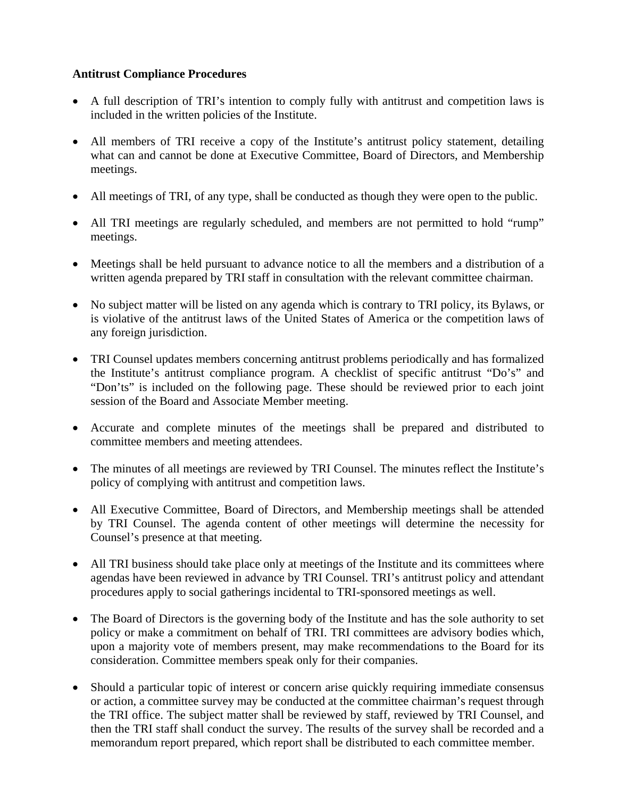## **Antitrust Compliance Procedures**

- A full description of TRI's intention to comply fully with antitrust and competition laws is included in the written policies of the Institute.
- All members of TRI receive a copy of the Institute's antitrust policy statement, detailing what can and cannot be done at Executive Committee, Board of Directors, and Membership meetings.
- All meetings of TRI, of any type, shall be conducted as though they were open to the public.
- All TRI meetings are regularly scheduled, and members are not permitted to hold "rump" meetings.
- Meetings shall be held pursuant to advance notice to all the members and a distribution of a written agenda prepared by TRI staff in consultation with the relevant committee chairman.
- No subject matter will be listed on any agenda which is contrary to TRI policy, its Bylaws, or is violative of the antitrust laws of the United States of America or the competition laws of any foreign jurisdiction.
- TRI Counsel updates members concerning antitrust problems periodically and has formalized the Institute's antitrust compliance program. A checklist of specific antitrust "Do's" and "Don'ts" is included on the following page. These should be reviewed prior to each joint session of the Board and Associate Member meeting.
- Accurate and complete minutes of the meetings shall be prepared and distributed to committee members and meeting attendees.
- The minutes of all meetings are reviewed by TRI Counsel. The minutes reflect the Institute's policy of complying with antitrust and competition laws.
- All Executive Committee, Board of Directors, and Membership meetings shall be attended by TRI Counsel. The agenda content of other meetings will determine the necessity for Counsel's presence at that meeting.
- All TRI business should take place only at meetings of the Institute and its committees where agendas have been reviewed in advance by TRI Counsel. TRI's antitrust policy and attendant procedures apply to social gatherings incidental to TRI-sponsored meetings as well.
- The Board of Directors is the governing body of the Institute and has the sole authority to set policy or make a commitment on behalf of TRI. TRI committees are advisory bodies which, upon a majority vote of members present, may make recommendations to the Board for its consideration. Committee members speak only for their companies.
- Should a particular topic of interest or concern arise quickly requiring immediate consensus or action, a committee survey may be conducted at the committee chairman's request through the TRI office. The subject matter shall be reviewed by staff, reviewed by TRI Counsel, and then the TRI staff shall conduct the survey. The results of the survey shall be recorded and a memorandum report prepared, which report shall be distributed to each committee member.